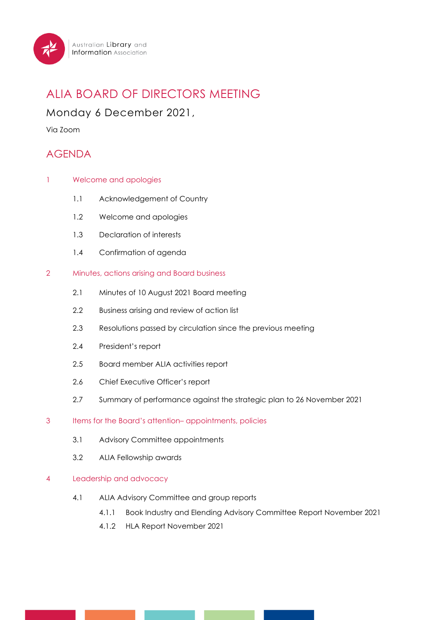

# ALIA BOARD OF DIRECTORS MEETING

Monday 6 December 2021,

Via Zoom

## AGENDA

- 1 Welcome and apologies
	- 1.1 Acknowledgement of Country
	- 1.2 Welcome and apologies
	- 1.3 Declaration of interests
	- 1.4 Confirmation of agenda

#### 2 Minutes, actions arising and Board business

- 2.1 Minutes of 10 August 2021 Board meeting
- 2.2 Business arising and review of action list
- 2.3 Resolutions passed by circulation since the previous meeting
- 2.4 President's report
- 2.5 Board member ALIA activities report
- 2.6 Chief Executive Officer's report
- 2.7 Summary of performance against the strategic plan to 26 November 2021

#### 3 Items for the Board's attention– appointments, policies

- 3.1 Advisory Committee appointments
- 3.2 ALIA Fellowship awards

#### 4 Leadership and advocacy

- 4.1 ALIA Advisory Committee and group reports
	- 4.1.1 Book Industry and Elending Advisory Committee Report November 2021
	- 4.1.2 HLA Report November 2021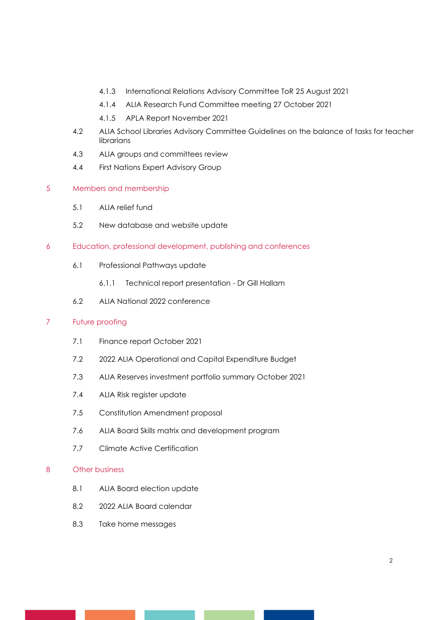- 4.1.3 International Relations Advisory Committee ToR 25 August 2021
- 4.1.4 ALIA Research Fund Committee meeting 27 October 2021
- 4.1.5 APLA Report November 2021
- 4.2 ALIA School Libraries Advisory Committee Guidelines on the balance of tasks for teacher librarians
- 4.3 ALIA groups and committees review
- 4.4 First Nations Expert Advisory Group

#### 5 Members and membership

- 5.1 ALIA relief fund
- 5.2 New database and website update
- 6 Education, professional development, publishing and conferences
	- 6.1 Professional Pathways update
		- 6.1.1 Technical report presentation Dr Gill Hallam
	- 6.2 ALIA National 2022 conference

#### 7 Future proofing

- 7.1 Finance report October 2021
- 7.2 2022 ALIA Operational and Capital Expenditure Budget
- 7.3 ALIA Reserves investment portfolio summary October 2021
- 7.4 ALIA Risk register update
- 7.5 Constitution Amendment proposal
- 7.6 ALIA Board Skills matrix and development program
- 7.7 Climate Active Certification

#### 8 Other business

- 8.1 ALIA Board election update
- 8.2 2022 ALIA Board calendar
- 8.3 Take home messages